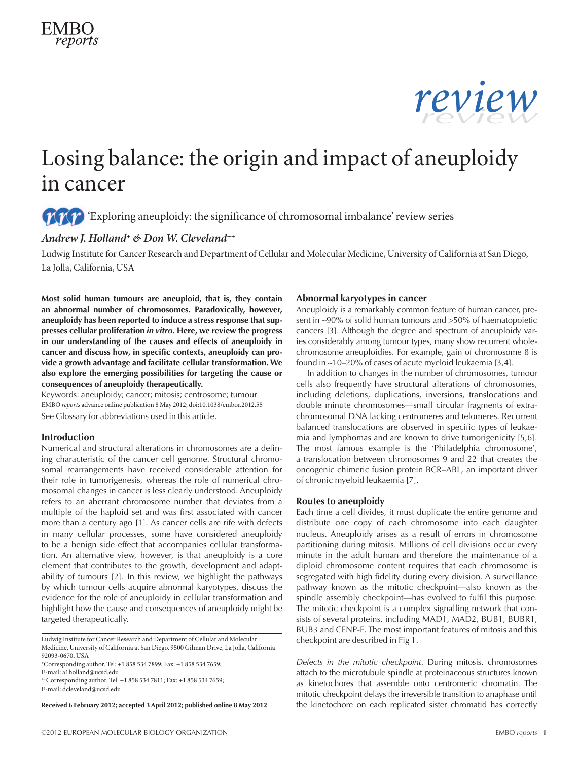



# Losing balance: the origin and impact of aneuploidy in cancer

'Exploring aneuploidy: the significance of chromosomal imbalance' review series

# *Andrew J. Holland+ & Don W. Cleveland++*

Ludwig Institute for Cancer Research and Department of Cellular and Molecular Medicine, University of California at San Diego, La Jolla, California, USA

**Most solid human tumours are aneuploid, that is, they contain an abnormal number of chromosomes. Paradoxically, however, aneuploidy has been reported to induce a stress response that suppresses cellular proliferation** *in vitro***. Here, we review the progress in our understanding of the causes and effects of aneuploidy in cancer and discuss how, in specific contexts, aneuploidy can provide a growth advantage and facilitate cellular transformation. We also explore the emerging possibilities for targeting the cause or consequences of aneuploidy therapeutically.**

Keywords: aneuploidy; cancer; mitosis; centrosome; tumour EMBO *reports* advance online publication 8 May 2012; [doi:10.1038/embor.2012.55](www.nature.com/doifinder/10.1038/embor.2012.55) See Glossary for abbreviations used in this article.

## **Introduction**

Numerical and structural alterations in chromosomes are a defining characteristic of the cancer cell genome. Structural chromosomal rearrangements have received considerable attention for their role in tumorigenesis, whereas the role of numerical chromosomal changes in cancer is less clearly understood. Aneuploidy refers to an aberrant chromosome number that deviates from a multiple of the haploid set and was first associated with cancer more than a century ago [1]. As cancer cells are rife with defects in many cellular processes, some have considered aneuploidy to be a benign side effect that accompanies cellular transformation. An alternative view, however, is that aneuploidy is a core element that contributes to the growth, development and adaptability of tumours [2]. In this review, we highlight the pathways by which tumour cells acquire abnormal karyotypes, discuss the evidence for the role of aneuploidy in cellular transformation and highlight how the cause and consequences of aneuploidy might be targeted therapeutically.

++Corresponding author. Tel: +1 858 534 7811; Fax: +1 858 534 7659; E-mail: [dcleveland@ucsd.edu](mailto:dcleveland@ucsd.edu)

**Received 6 February 2012; accepted 3 April 2012; published online 8 May 2012**

### **Abnormal karyotypes in cancer**

Aneuploidy is a remarkably common feature of human cancer, present in ~90% of solid human tumours and >50% of haematopoietic cancers [3]. Although the degree and spectrum of aneuploidy varies considerably among tumour types, many show recurrent wholechromosome aneuploidies. For example, gain of chromosome 8 is found in ~10–20% of cases of acute myeloid leukaemia [3,4].

In addition to changes in the number of chromosomes, tumour cells also frequently have structural alterations of chromosomes, including deletions, duplications, inversions, translocations and double minute chromosomes—small circular fragments of extrachromosomal DNA lacking centromeres and telomeres. Recurrent balanced translocations are observed in specific types of leukaemia and lymphomas and are known to drive tumorigenicity [5,6]. The most famous example is the 'Philadelphia chromosome', a translocation between chromosomes 9 and 22 that creates the oncogenic chimeric fusion protein BCR–ABL, an important driver of chronic myeloid leukaemia [7].

### **Routes to aneuploidy**

Each time a cell divides, it must duplicate the entire genome and distribute one copy of each chromosome into each daughter nucleus. Aneuploidy arises as a result of errors in chromosome partitioning during mitosis. Millions of cell divisions occur every minute in the adult human and therefore the maintenance of a diploid chromosome content requires that each chromosome is segregated with high fidelity during every division. A surveillance pathway known as the mitotic checkpoint—also known as the spindle assembly checkpoint—has evolved to fulfil this purpose. The mitotic checkpoint is a complex signalling network that consists of several proteins, including MAD1, MAD2, BUB1, BUBR1, BUB3 and CENP-E. The most important features of mitosis and this checkpoint are described in Fig 1.

*Defects in the mitotic checkpoint*. During mitosis, chromosomes attach to the microtubule spindle at proteinaceous structures known as kinetochores that assemble onto centromeric chromatin. The mitotic checkpoint delays the irreversible transition to anaphase until the kinetochore on each replicated sister chromatid has correctly

Ludwig Institute for Cancer Research and Department of Cellular and Molecular Medicine, University of California at San Diego, 9500 Gilman Drive, La Jolla, California 92093‑0670, USA

<sup>+</sup>Corresponding author. Tel: +1 858 534 7899; Fax: +1 858 534 7659;

E‑mail: [a1holland@ucsd.edu](mailto:a1holland@ucsd.edu)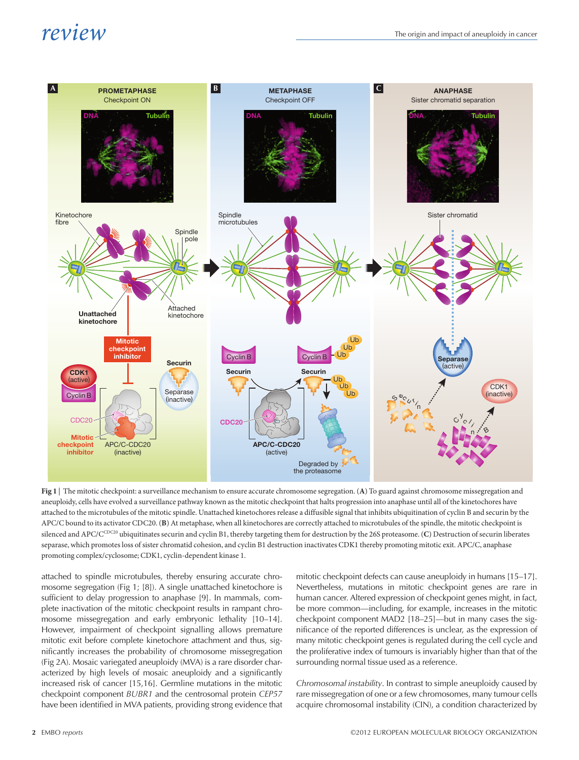

**Fig 1** | The mitotic checkpoint: a surveillance mechanism to ensure accurate chromosome segregation. (**A**) To guard against chromosome missegregation and aneuploidy, cells have evolved a surveillance pathway known as the mitotic checkpoint that halts progression into anaphase until all of the kinetochores have attached to the microtubules of the mitotic spindle. Unattached kinetochores release a diffusible signal that inhibits ubiquitination of cyclin B and securin by the APC/C bound to its activator CDC20. (**B**) At metaphase, when all kinetochores are correctly attached to microtubules of the spindle, the mitotic checkpoint is silenced and APC/CCDC20 ubiquitinates securin and cyclin B1, thereby targeting them for destruction by the 26S proteasome. (C) Destruction of securin liberates separase, which promotes loss of sister chromatid cohesion, and cyclin B1 destruction inactivates CDK1 thereby promoting mitotic exit. APC/C, anaphase promoting complex/cyclosome; CDK1, cyclin-dependent kinase 1.

attached to spindle microtubules, thereby ensuring accurate chromosome segregation (Fig 1; [8]). A single unattached kinetochore is sufficient to delay progression to anaphase [9]. In mammals, complete inactivation of the mitotic checkpoint results in rampant chromosome missegregation and early embryonic lethality [10–14]. However, impairment of checkpoint signalling allows premature mitotic exit before complete kinetochore attachment and thus, significantly increases the probability of chromosome missegregation (Fig 2A). Mosaic variegated aneuploidy (MVA) is a rare disorder characterized by high levels of mosaic aneuploidy and a significantly increased risk of cancer [15,16]. Germline mutations in the mitotic checkpoint component *BUBR1* and the centrosomal protein *CEP57* have been identified in MVA patients, providing strong evidence that

mitotic checkpoint defects can cause aneuploidy in humans [15–17]. Nevertheless, mutations in mitotic checkpoint genes are rare in human cancer. Altered expression of checkpoint genes might, in fact, be more common—including, for example, increases in the mitotic checkpoint component MAD2 [18–25]—but in many cases the significance of the reported differences is unclear, as the expression of many mitotic checkpoint genes is regulated during the cell cycle and the proliferative index of tumours is invariably higher than that of the surrounding normal tissue used as a reference.

*Chromosomal instability*. In contrast to simple aneuploidy caused by rare missegregation of one or a few chromosomes, many tumour cells acquire chromosomal instability (CIN), a condition characterized by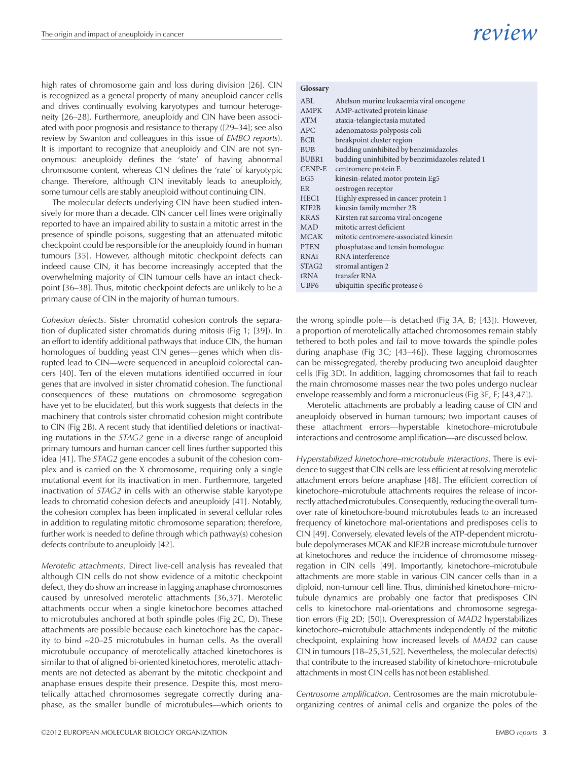high rates of chromosome gain and loss during division [26]. CIN is recognized as a general property of many aneuploid cancer cells and drives continually evolving karyotypes and tumour heterogeneity [26–28]. Furthermore, aneuploidy and CIN have been associated with poor prognosis and resistance to therapy ([29–34]; see also review by Swanton and colleagues in this issue of *EMBO reports*). It is important to recognize that aneuploidy and CIN are not synonymous: aneuploidy defines the 'state' of having abnormal chromosome content, whereas CIN defines the 'rate' of karyotypic change. Therefore, although CIN inevitably leads to aneuploidy, some tumour cells are stably aneuploid without continuing CIN.

The molecular defects underlying CIN have been studied intensively for more than a decade. CIN cancer cell lines were originally reported to have an impaired ability to sustain a mitotic arrest in the presence of spindle poisons, suggesting that an attenuated mitotic checkpoint could be responsible for the aneuploidy found in human tumours [35]. However, although mitotic checkpoint defects can indeed cause CIN, it has become increasingly accepted that the overwhelming majority of CIN tumour cells have an intact checkpoint [36–38]. Thus, mitotic checkpoint defects are unlikely to be a primary cause of CIN in the majority of human tumours.

*Cohesion defects*. Sister chromatid cohesion controls the separation of duplicated sister chromatids during mitosis (Fig 1; [39]). In an effort to identify additional pathways that induce CIN, the human homologues of budding yeast CIN genes—genes which when disrupted lead to CIN—were sequenced in aneuploid colorectal cancers [40]. Ten of the eleven mutations identified occurred in four genes that are involved in sister chromatid cohesion. The functional consequences of these mutations on chromosome segregation have yet to be elucidated, but this work suggests that defects in the machinery that controls sister chromatid cohesion might contribute to CIN (Fig 2B). A recent study that identified deletions or inactivating mutations in the *STAG2* gene in a diverse range of aneuploid primary tumours and human cancer cell lines further supported this idea [41]. The *STAG2* gene encodes a subunit of the cohesion complex and is carried on the X chromosome, requiring only a single mutational event for its inactivation in men. Furthermore, targeted inactivation of *STAG2* in cells with an otherwise stable karyotype leads to chromatid cohesion defects and aneuploidy [41]. Notably, the cohesion complex has been implicated in several cellular roles in addition to regulating mitotic chromosome separation; therefore, further work is needed to define through which pathway(s) cohesion defects contribute to aneuploidy [42].

*Merotelic attachments*. Direct live-cell analysis has revealed that although CIN cells do not show evidence of a mitotic checkpoint defect, they do show an increase in lagging anaphase chromosomes caused by unresolved merotelic attachments [36,37]. Merotelic attachments occur when a single kinetochore becomes attached to microtubules anchored at both spindle poles (Fig 2C, D). These attachments are possible because each kinetochore has the capacity to bind ~20–25 microtubules in human cells. As the overall microtubule occupancy of merotelically attached kinetochores is similar to that of aligned bi-oriented kinetochores, merotelic attachments are not detected as aberrant by the mitotic checkpoint and anaphase ensues despite their presence. Despite this, most merotelically attached chromosomes segregate correctly during anaphase, as the smaller bundle of microtubules—which orients to

## **Glossary**

| $\cdots$         |                                                 |
|------------------|-------------------------------------------------|
| ABL              | Abelson murine leukaemia viral oncogene         |
| AMPK             | AMP-activated protein kinase                    |
| ATM              | ataxia-telangiectasia mutated                   |
| APC.             | adenomatosis polyposis coli                     |
| <b>BCR</b>       | breakpoint cluster region                       |
| <b>BUB</b>       | budding uninhibited by benzimidazoles           |
| BUBR1            | budding uninhibited by benzimidazoles related 1 |
| CENP-E           | centromere protein E                            |
| EG5              | kinesin-related motor protein Eg5               |
| ER               | oestrogen receptor                              |
| HEC1             | Highly expressed in cancer protein 1            |
| KIF2B            | kinesin family member 2B                        |
| <b>KRAS</b>      | Kirsten rat sarcoma viral oncogene              |
| <b>MAD</b>       | mitotic arrest deficient                        |
| MCAK             | mitotic centromere-associated kinesin           |
| <b>PTEN</b>      | phosphatase and tensin homologue                |
| RNAi             | RNA interference                                |
| STAG2            | stromal antigen 2                               |
| tRNA             | transfer RNA                                    |
| UBP <sub>6</sub> | ubiquitin-specific protease 6                   |
|                  |                                                 |

the wrong spindle pole—is detached (Fig 3A, B; [43]). However, a proportion of merotelically attached chromosomes remain stably tethered to both poles and fail to move towards the spindle poles during anaphase (Fig 3C; [43–46]). These lagging chromosomes can be missegregated, thereby producing two aneuploid daughter cells (Fig 3D). In addition, lagging chromosomes that fail to reach the main chromosome masses near the two poles undergo nuclear envelope reassembly and form a micronucleus (Fig 3E, F; [43,47]).

Merotelic attachments are probably a leading cause of CIN and aneuploidy observed in human tumours; two important causes of these attachment errors—hyperstable kinetochore–microtubule interactions and centrosome amplification—are discussed below.

*Hyperstabilized kinetochore–microtubule interactions*. There is evidence to suggest that CIN cells are less efficient at resolving merotelic attachment errors before anaphase [48]. The efficient correction of kinetochore–microtubule attachments requires the release of incorrectly attached microtubules. Consequently, reducing the overall turnover rate of kinetochore-bound microtubules leads to an increased frequency of kinetochore mal-orientations and predisposes cells to CIN [49]. Conversely, elevated levels of the ATP-dependent microtubule depolymerases MCAK and KIF2B increase microtubule turnover at kinetochores and reduce the incidence of chromosome missegregation in CIN cells [49]. Importantly, kinetochore–microtubule attachments are more stable in various CIN cancer cells than in a diploid, non-tumour cell line. Thus, diminished kinetochore–microtubule dynamics are probably one factor that predisposes CIN cells to kinetochore mal-orientations and chromosome segregation errors (Fig 2D; [50]). Overexpression of *MAD2* hyperstabilizes kinetochore–microtubule attachments independently of the mitotic checkpoint, explaining how increased levels of *MAD2* can cause CIN in tumours [18–25,51,52]. Nevertheless, the molecular defect(s) that contribute to the increased stability of kinetochore–microtubule attachments in most CIN cells has not been established.

*Centrosome amplification*. Centrosomes are the main microtubuleorganizing centres of animal cells and organize the poles of the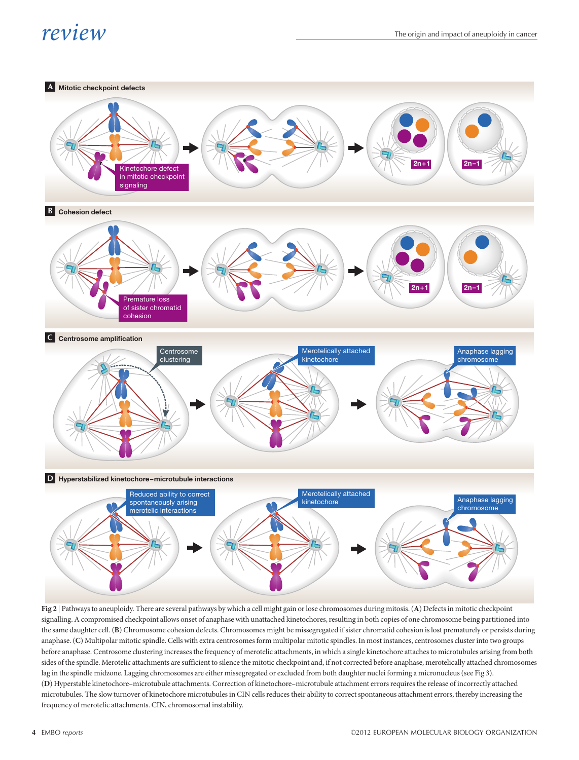

**Fig 2** | Pathways to aneuploidy. There are several pathways by which a cell might gain or lose chromosomes during mitosis. (**A**) Defects in mitotic checkpoint signalling. A compromised checkpoint allows onset of anaphase with unattached kinetochores, resulting in both copies of one chromosome being partitioned into the same daughter cell. (**B**) Chromosome cohesion defects. Chromosomes might be missegregated if sister chromatid cohesion is lost prematurely or persists during anaphase. (**C**) Multipolar mitotic spindle. Cells with extra centrosomes form multipolar mitotic spindles. In most instances, centrosomes cluster into two groups before anaphase. Centrosome clustering increases the frequency of merotelic attachments, in which a single kinetochore attaches to microtubules arising from both sides of the spindle. Merotelic attachments are sufficient to silence the mitotic checkpoint and, if not corrected before anaphase, merotelically attached chromosomes lag in the spindle midzone. Lagging chromosomes are either missegregated or excluded from both daughter nuclei forming a micronucleus (see Fig 3). (**D**) Hyperstable kinetochore–microtubule attachments. Correction of kinetochore–microtubule attachment errors requires the release of incorrectly attached microtubules. The slow turnover of kinetochore microtubules in CIN cells reduces their ability to correct spontaneous attachment errors, thereby increasing the frequency of merotelic attachments. CIN, chromosomal instability.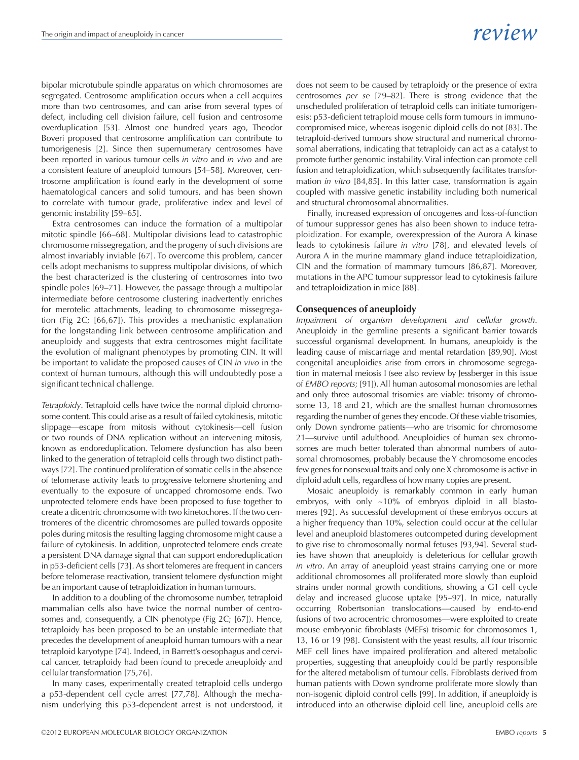bipolar microtubule spindle apparatus on which chromosomes are segregated. Centrosome amplification occurs when a cell acquires more than two centrosomes, and can arise from several types of defect, including cell division failure, cell fusion and centrosome overduplication [53]. Almost one hundred years ago, Theodor Boveri proposed that centrosome amplification can contribute to tumorigenesis [2]. Since then supernumerary centrosomes have been reported in various tumour cells *in vitro* and *in vivo* and are a consistent feature of aneuploid tumours [54–58]. Moreover, centrosome amplification is found early in the development of some haematological cancers and solid tumours, and has been shown to correlate with tumour grade, proliferative index and level of genomic instability [59–65].

Extra centrosomes can induce the formation of a multipolar mitotic spindle [66–68]. Multipolar divisions lead to catastrophic chromosome missegregation, and the progeny of such divisions are almost invariably inviable [67]. To overcome this problem, cancer cells adopt mechanisms to suppress multipolar divisions, of which the best characterized is the clustering of centrosomes into two spindle poles [69–71]. However, the passage through a multipolar intermediate before centrosome clustering inadvertently enriches for merotelic attachments, leading to chromosome missegregation (Fig 2C; [66,67]). This provides a mechanistic explanation for the longstanding link between centrosome amplification and aneuploidy and suggests that extra centrosomes might facilitate the evolution of malignant phenotypes by promoting CIN. It will be important to validate the proposed causes of CIN *in vivo* in the context of human tumours, although this will undoubtedly pose a significant technical challenge.

*Tetraploidy*. Tetraploid cells have twice the normal diploid chromosome content. This could arise as a result of failed cytokinesis, mitotic slippage—escape from mitosis without cytokinesis—cell fusion or two rounds of DNA replication without an intervening mitosis, known as endoreduplication. Telomere dysfunction has also been linked to the generation of tetraploid cells through two distinct pathways [72]. The continued proliferation of somatic cells in the absence of telomerase activity leads to progressive telomere shortening and eventually to the exposure of uncapped chromosome ends. Two unprotected telomere ends have been proposed to fuse together to create a dicentric chromosome with two kinetochores. If the two centromeres of the dicentric chromosomes are pulled towards opposite poles during mitosis the resulting lagging chromosome might cause a failure of cytokinesis. In addition, unprotected telomere ends create a persistent DNA damage signal that can support endoreduplication in p53-deficient cells [73]. As short telomeres are frequent in cancers before telomerase reactivation, transient telomere dysfunction might be an important cause of tetraploidization in human tumours.

In addition to a doubling of the chromosome number, tetraploid mammalian cells also have twice the normal number of centrosomes and, consequently, a CIN phenotype (Fig 2C; [67]). Hence, tetraploidy has been proposed to be an unstable intermediate that precedes the development of aneuploid human tumours with a near tetraploid karyotype [74]. Indeed, in Barrett's oesophagus and cervical cancer, tetraploidy had been found to precede aneuploidy and cellular transformation [75,76].

In many cases, experimentally created tetraploid cells undergo a p53-dependent cell cycle arrest [77,78]. Although the mechanism underlying this p53-dependent arrest is not understood, it

does not seem to be caused by tetraploidy or the presence of extra centrosomes *per se* [79–82]. There is strong evidence that the unscheduled proliferation of tetraploid cells can initiate tumorigenesis: p53-deficient tetraploid mouse cells form tumours in immunocompromised mice, whereas isogenic diploid cells do not [83]. The tetraploid-derived tumours show structural and numerical chromosomal aberrations, indicating that tetraploidy can act as a catalyst to promote further genomic instability. Viral infection can promote cell fusion and tetraploidization, which subsequently facilitates transformation *in vitro* [84,85]. In this latter case, transformation is again coupled with massive genetic instability including both numerical and structural chromosomal abnormalities.

Finally, increased expression of oncogenes and loss-of-function of tumour suppressor genes has also been shown to induce tetraploidization. For example, overexpression of the Aurora A kinase leads to cytokinesis failure *in vitro* [78], and elevated levels of Aurora A in the murine mammary gland induce tetraploidization, CIN and the formation of mammary tumours [86,87]. Moreover, mutations in the APC tumour suppressor lead to cytokinesis failure and tetraploidization in mice [88].

### **Consequences of aneuploidy**

*Impairment of organism development and cellular growth*. Aneuploidy in the germline presents a significant barrier towards successful organismal development. In humans, aneuploidy is the leading cause of miscarriage and mental retardation [89,90]. Most congenital aneuploidies arise from errors in chromosome segregation in maternal meiosis I (see also review by Jessberger in this issue of *EMBO reports*; [91]). All human autosomal monosomies are lethal and only three autosomal trisomies are viable: trisomy of chromosome 13, 18 and 21, which are the smallest human chromosomes regarding the number of genes they encode. Of these viable trisomies, only Down syndrome patients—who are trisomic for chromosome 21—survive until adulthood. Aneuploidies of human sex chromosomes are much better tolerated than abnormal numbers of autosomal chromosomes, probably because the Y chromosome encodes few genes for nonsexual traits and only one X chromosome is active in diploid adult cells, regardless of how many copies are present.

Mosaic aneuploidy is remarkably common in early human embryos, with only ~10% of embryos diploid in all blastomeres [92]. As successful development of these embryos occurs at a higher frequency than 10%, selection could occur at the cellular level and aneuploid blastomeres outcompeted during development to give rise to chromosomally normal fetuses [93,94]. Several studies have shown that aneuploidy is deleterious for cellular growth *in vitro*. An array of aneuploid yeast strains carrying one or more additional chromosomes all proliferated more slowly than euploid strains under normal growth conditions, showing a G1 cell cycle delay and increased glucose uptake [95–97]. In mice, naturally occurring Robertsonian translocations—caused by end-to-end fusions of two acrocentric chromosomes—were exploited to create mouse embryonic fibroblasts (MEFs) trisomic for chromosomes 1, 13, 16 or 19 [98]. Consistent with the yeast results, all four trisomic MEF cell lines have impaired proliferation and altered metabolic properties, suggesting that aneuploidy could be partly responsible for the altered metabolism of tumour cells. Fibroblasts derived from human patients with Down syndrome proliferate more slowly than non-isogenic diploid control cells [99]. In addition, if aneuploidy is introduced into an otherwise diploid cell line, aneuploid cells are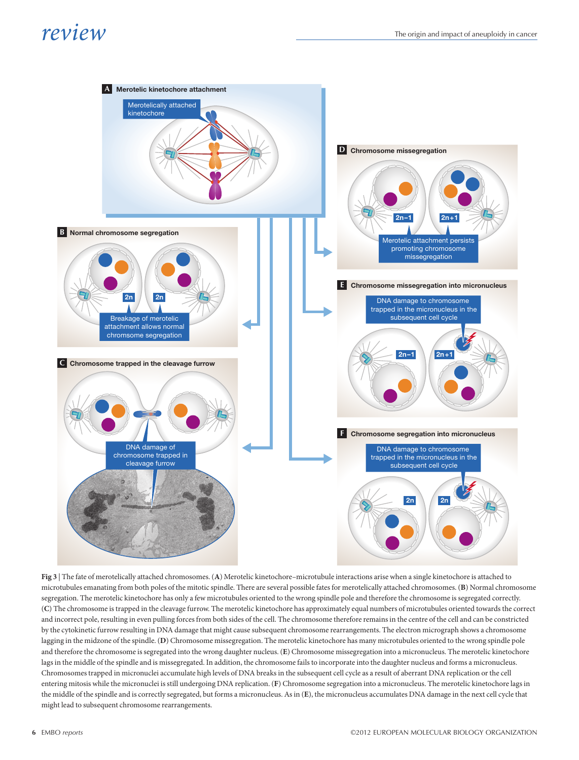

**Fig 3** | The fate of merotelically attached chromosomes. (**A**) Merotelic kinetochore–microtubule interactions arise when a single kinetochore is attached to microtubules emanating from both poles of the mitotic spindle. There are several possible fates for merotelically attached chromosomes. (**B**) Normal chromosome segregation. The merotelic kinetochore has only a few microtubules oriented to the wrong spindle pole and therefore the chromosome is segregated correctly. (**C**) The chromosome is trapped in the cleavage furrow. The merotelic kinetochore has approximately equal numbers of microtubules oriented towards the correct and incorrect pole, resulting in even pulling forces from both sides of the cell. The chromosome therefore remains in the centre of the cell and can be constricted by the cytokinetic furrow resulting in DNA damage that might cause subsequent chromosome rearrangements. The electron micrograph shows a chromosome lagging in the midzone of the spindle. (**D**) Chromosome missegregation. The merotelic kinetochore has many microtubules oriented to the wrong spindle pole and therefore the chromosome is segregated into the wrong daughter nucleus. (**E**) Chromosome missegregation into a micronucleus. The merotelic kinetochore lags in the middle of the spindle and is missegregated. In addition, the chromosome fails to incorporate into the daughter nucleus and forms a micronucleus. Chromosomes trapped in micronuclei accumulate high levels of DNA breaks in the subsequent cell cycle as a result of aberrant DNA replication or the cell entering mitosis while the micronuclei is still undergoing DNA replication. (**F**) Chromosome segregation into a micronucleus. The merotelic kinetochore lags in the middle of the spindle and is correctly segregated, but forms a micronucleus. As in (**E**), the micronucleus accumulates DNA damage in the next cell cycle that might lead to subsequent chromosome rearrangements.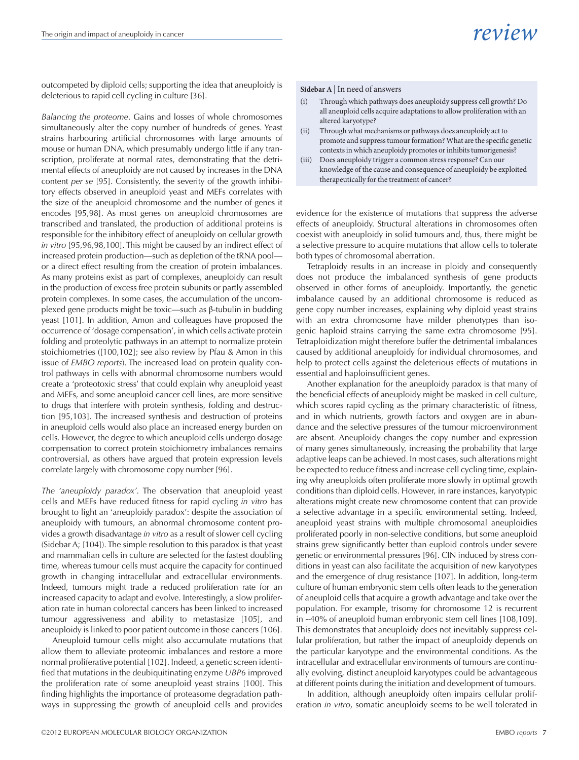outcompeted by diploid cells; supporting the idea that aneuploidy is deleterious to rapid cell cycling in culture [36].

*Balancing the proteome*. Gains and losses of whole chromosomes simultaneously alter the copy number of hundreds of genes. Yeast strains harbouring artificial chromosomes with large amounts of mouse or human DNA, which presumably undergo little if any transcription, proliferate at normal rates, demonstrating that the detrimental effects of aneuploidy are not caused by increases in the DNA content *per se* [95]. Consistently, the severity of the growth inhibitory effects observed in aneuploid yeast and MEFs correlates with the size of the aneuploid chromosome and the number of genes it encodes [95,98]. As most genes on aneuploid chromosomes are transcribed and translated, the production of additional proteins is responsible for the inhibitory effect of aneuploidy on cellular growth *in vitro* [95,96,98,100]. This might be caused by an indirect effect of increased protein production—such as depletion of the tRNA pool or a direct effect resulting from the creation of protein imbalances. As many proteins exist as part of complexes, aneuploidy can result in the production of excess free protein subunits or partly assembled protein complexes. In some cases, the accumulation of the uncomplexed gene products might be toxic—such as β-tubulin in budding yeast [101]. In addition, Amon and colleagues have proposed the occurrence of 'dosage compensation', in which cells activate protein folding and proteolytic pathways in an attempt to normalize protein stoichiometries ([100,102]; see also review by Pfau & Amon in this issue of *EMBO reports*). The increased load on protein quality control pathways in cells with abnormal chromosome numbers would create a 'proteotoxic stress' that could explain why aneuploid yeast and MEFs, and some aneuploid cancer cell lines, are more sensitive to drugs that interfere with protein synthesis, folding and destruction [95,103]. The increased synthesis and destruction of proteins in aneuploid cells would also place an increased energy burden on cells. However, the degree to which aneuploid cells undergo dosage compensation to correct protein stoichiometry imbalances remains controversial, as others have argued that protein expression levels correlate largely with chromosome copy number [96].

*The 'aneuploidy paradox'*. The observation that aneuploid yeast cells and MEFs have reduced fitness for rapid cycling *in vitro* has brought to light an 'aneuploidy paradox': despite the association of aneuploidy with tumours, an abnormal chromosome content provides a growth disadvantage *in vitro* as a result of slower cell cycling (Sidebar A; [104]). The simple resolution to this paradox is that yeast and mammalian cells in culture are selected for the fastest doubling time, whereas tumour cells must acquire the capacity for continued growth in changing intracellular and extracellular environments. Indeed, tumours might trade a reduced proliferation rate for an increased capacity to adapt and evolve. Interestingly, a slow proliferation rate in human colorectal cancers has been linked to increased tumour aggressiveness and ability to metastasize [105], and aneuploidy is linked to poor patient outcome in those cancers [106].

Aneuploid tumour cells might also accumulate mutations that allow them to alleviate proteomic imbalances and restore a more normal proliferative potential [102]. Indeed, a genetic screen identified that mutations in the deubiquitinating enzyme *UBP6* improved the proliferation rate of some aneuploid yeast strains [100]. This finding highlights the importance of proteasome degradation pathways in suppressing the growth of aneuploid cells and provides

### **Sidebar A** | In need of answers

- Through which pathways does aneuploidy suppress cell growth? Do all aneuploid cells acquire adaptations to allow proliferation with an altered karyotype?
- (ii) Through what mechanisms or pathways does aneuploidy act to promote and suppress tumour formation? What are the specific genetic contexts in which aneuploidy promotes or inhibits tumorigenesis?
- (iii) Does aneuploidy trigger a common stress response? Can our knowledge of the cause and consequence of aneuploidy be exploited therapeutically for the treatment of cancer?

evidence for the existence of mutations that suppress the adverse effects of aneuploidy. Structural alterations in chromosomes often coexist with aneuploidy in solid tumours and, thus, there might be a selective pressure to acquire mutations that allow cells to tolerate both types of chromosomal aberration.

Tetraploidy results in an increase in ploidy and consequently does not produce the imbalanced synthesis of gene products observed in other forms of aneuploidy. Importantly, the genetic imbalance caused by an additional chromosome is reduced as gene copy number increases, explaining why diploid yeast strains with an extra chromosome have milder phenotypes than isogenic haploid strains carrying the same extra chromosome [95]. Tetraploidization might therefore buffer the detrimental imbalances caused by additional aneuploidy for individual chromosomes, and help to protect cells against the deleterious effects of mutations in essential and haploinsufficient genes.

Another explanation for the aneuploidy paradox is that many of the beneficial effects of aneuploidy might be masked in cell culture, which scores rapid cycling as the primary characteristic of fitness, and in which nutrients, growth factors and oxygen are in abundance and the selective pressures of the tumour microenvironment are absent. Aneuploidy changes the copy number and expression of many genes simultaneously, increasing the probability that large adaptive leaps can be achieved. In most cases, such alterations might be expected to reduce fitness and increase cell cycling time, explaining why aneuploids often proliferate more slowly in optimal growth conditions than diploid cells. However, in rare instances, karyotypic alterations might create new chromosome content that can provide a selective advantage in a specific environmental setting. Indeed, aneuploid yeast strains with multiple chromosomal aneuploidies proliferated poorly in non-selective conditions, but some aneuploid strains grew significantly better than euploid controls under severe genetic or environmental pressures [96]. CIN induced by stress conditions in yeast can also facilitate the acquisition of new karyotypes and the emergence of drug resistance [107]. In addition, long-term culture of human embryonic stem cells often leads to the generation of aneuploid cells that acquire a growth advantage and take over the population. For example, trisomy for chromosome 12 is recurrent in ~40% of aneuploid human embryonic stem cell lines [108,109]. This demonstrates that aneuploidy does not inevitably suppress cellular proliferation, but rather the impact of aneuploidy depends on the particular karyotype and the environmental conditions. As the intracellular and extracellular environments of tumours are continually evolving, distinct aneuploid karyotypes could be advantageous at different points during the initiation and development of tumours.

In addition, although aneuploidy often impairs cellular proliferation *in vitro*, somatic aneuploidy seems to be well tolerated in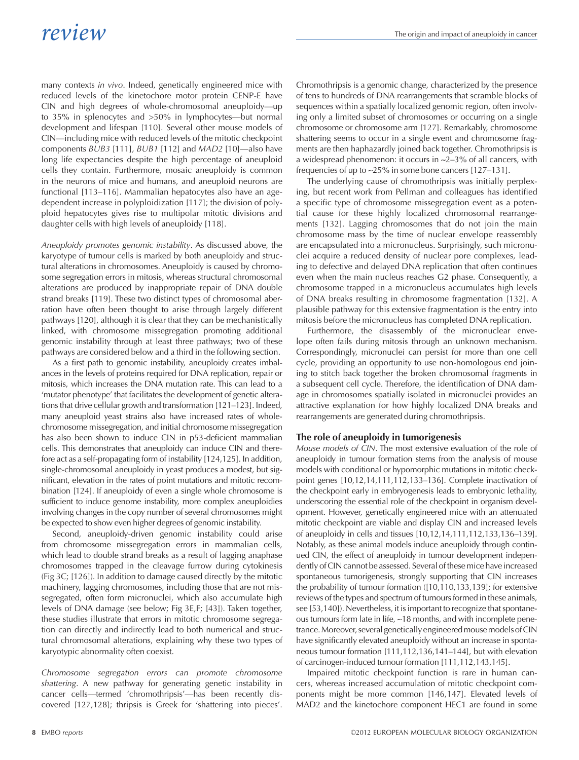many contexts *in vivo*. Indeed, genetically engineered mice with reduced levels of the kinetochore motor protein CENP-E have CIN and high degrees of whole-chromosomal aneuploidy—up to 35% in splenocytes and >50% in lymphocytes—but normal development and lifespan [110]. Several other mouse models of CIN—including mice with reduced levels of the mitotic checkpoint components *BUB3* [111], *BUB1* [112] and *MAD2* [10]—also have long life expectancies despite the high percentage of aneuploid cells they contain. Furthermore, mosaic aneuploidy is common in the neurons of mice and humans, and aneuploid neurons are functional [113–116]. Mammalian hepatocytes also have an agedependent increase in polyploidization [117]; the division of polyploid hepatocytes gives rise to multipolar mitotic divisions and daughter cells with high levels of aneuploidy [118].

*Aneuploidy promotes genomic instability*. As discussed above, the karyotype of tumour cells is marked by both aneuploidy and structural alterations in chromosomes. Aneuploidy is caused by chromosome segregation errors in mitosis, whereas structural chromosomal alterations are produced by inappropriate repair of DNA double strand breaks [119]. These two distinct types of chromosomal aberration have often been thought to arise through largely different pathways [120], although it is clear that they can be mechanistically linked, with chromosome missegregation promoting additional genomic instability through at least three pathways; two of these pathways are considered below and a third in the following section.

As a first path to genomic instability, aneuploidy creates imbalances in the levels of proteins required for DNA replication, repair or mitosis, which increases the DNA mutation rate. This can lead to a 'mutator phenotype' that facilitates the development of genetic alterations that drive cellular growth and transformation [121–123]. Indeed, many aneuploid yeast strains also have increased rates of wholechromosome missegregation, and initial chromosome missegregation has also been shown to induce CIN in p53-deficient mammalian cells. This demonstrates that aneuploidy can induce CIN and therefore act as a self-propagating form of instability [124,125]. In addition, single-chromosomal aneuploidy in yeast produces a modest, but significant, elevation in the rates of point mutations and mitotic recombination [124]. If aneuploidy of even a single whole chromosome is sufficient to induce genome instability, more complex aneuploidies involving changes in the copy number of several chromosomes might be expected to show even higher degrees of genomic instability.

Second, aneuploidy-driven genomic instability could arise from chromosome missegregation errors in mammalian cells, which lead to double strand breaks as a result of lagging anaphase chromosomes trapped in the cleavage furrow during cytokinesis (Fig 3C; [126]). In addition to damage caused directly by the mitotic machinery, lagging chromosomes, including those that are not missegregated, often form micronuclei, which also accumulate high levels of DNA damage (see below; Fig 3E,F; [43]). Taken together, these studies illustrate that errors in mitotic chromosome segregation can directly and indirectly lead to both numerical and structural chromosomal alterations, explaining why these two types of karyotypic abnormality often coexist.

*Chromosome segregation errors can promote chromosome shattering*. A new pathway for generating genetic instability in cancer cells—termed 'chromothripsis'—has been recently discovered [127,128]; thripsis is Greek for 'shattering into pieces'. Chromothripsis is a genomic change, characterized by the presence of tens to hundreds of DNA rearrangements that scramble blocks of sequences within a spatially localized genomic region, often involving only a limited subset of chromosomes or occurring on a single chromosome or chromosome arm [127]. Remarkably, chromosome shattering seems to occur in a single event and chromosome fragments are then haphazardly joined back together. Chromothripsis is a widespread phenomenon: it occurs in ~2–3% of all cancers, with frequencies of up to ~25% in some bone cancers [127–131].

The underlying cause of chromothripsis was initially perplexing, but recent work from Pellman and colleagues has identified a specific type of chromosome missegregation event as a potential cause for these highly localized chromosomal rearrangements [132]. Lagging chromosomes that do not join the main chromosome mass by the time of nuclear envelope reassembly are encapsulated into a micronucleus. Surprisingly, such micronuclei acquire a reduced density of nuclear pore complexes, leading to defective and delayed DNA replication that often continues even when the main nucleus reaches G2 phase. Consequently, a chromosome trapped in a micronucleus accumulates high levels of DNA breaks resulting in chromosome fragmentation [132]. A plausible pathway for this extensive fragmentation is the entry into mitosis before the micronucleus has completed DNA replication.

Furthermore, the disassembly of the micronuclear envelope often fails during mitosis through an unknown mechanism. Correspondingly, micronuclei can persist for more than one cell cycle, providing an opportunity to use non-homologous end joining to stitch back together the broken chromosomal fragments in a subsequent cell cycle. Therefore, the identification of DNA damage in chromosomes spatially isolated in micronuclei provides an attractive explanation for how highly localized DNA breaks and rearrangements are generated during chromothripsis.

## **The role of aneuploidy in tumorigenesis**

*Mouse models of CIN*. The most extensive evaluation of the role of aneuploidy in tumour formation stems from the analysis of mouse models with conditional or hypomorphic mutations in mitotic checkpoint genes [10,12,14,111,112,133–136]. Complete inactivation of the checkpoint early in embryogenesis leads to embryonic lethality, underscoring the essential role of the checkpoint in organism development. However, genetically engineered mice with an attenuated mitotic checkpoint are viable and display CIN and increased levels of aneuploidy in cells and tissues [10,12,14,111,112,133,136–139]. Notably, as these animal models induce aneuploidy through continued CIN, the effect of aneuploidy in tumour development independently of CIN cannot be assessed. Several of these mice have increased spontaneous tumorigenesis, strongly supporting that CIN increases the probability of tumour formation ([10,110,133,139]; for extensive reviews of the types and spectrum of tumours formed in these animals, see [53,140]). Nevertheless, it is important to recognize that spontaneous tumours form late in life, ~18 months, and with incomplete penetrance. Moreover, several genetically engineered mouse models of CIN have significantly elevated aneuploidy without an increase in spontaneous tumour formation [111,112,136,141–144], but with elevation of carcinogen-induced tumour formation [111,112,143,145].

Impaired mitotic checkpoint function is rare in human cancers, whereas increased accumulation of mitotic checkpoint components might be more common [146,147]. Elevated levels of MAD2 and the kinetochore component HEC1 are found in some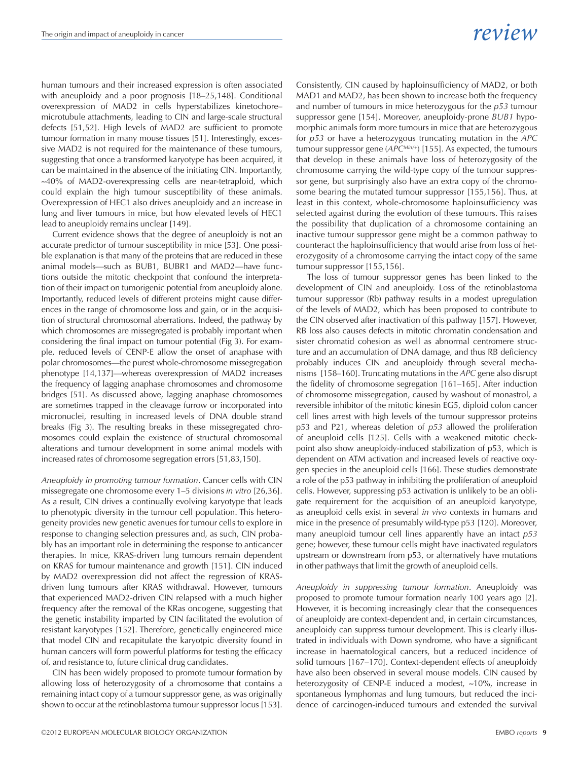human tumours and their increased expression is often associated with aneuploidy and a poor prognosis [18–25,148]. Conditional overexpression of MAD2 in cells hyperstabilizes kinetochore– microtubule attachments, leading to CIN and large-scale structural defects [51,52]. High levels of MAD2 are sufficient to promote tumour formation in many mouse tissues [51]. Interestingly, excessive MAD2 is not required for the maintenance of these tumours, suggesting that once a transformed karyotype has been acquired, it can be maintained in the absence of the initiating CIN. Importantly, ~40% of MAD2-overexpressing cells are near-tetraploid, which could explain the high tumour susceptibility of these animals. Overexpression of HEC1 also drives aneuploidy and an increase in lung and liver tumours in mice, but how elevated levels of HEC1 lead to aneuploidy remains unclear [149].

Current evidence shows that the degree of aneuploidy is not an accurate predictor of tumour susceptibility in mice [53]. One possible explanation is that many of the proteins that are reduced in these animal models—such as BUB1, BUBR1 and MAD2—have functions outside the mitotic checkpoint that confound the interpretation of their impact on tumorigenic potential from aneuploidy alone. Importantly, reduced levels of different proteins might cause differences in the range of chromosome loss and gain, or in the acquisition of structural chromosomal aberrations. Indeed, the pathway by which chromosomes are missegregated is probably important when considering the final impact on tumour potential (Fig 3). For example, reduced levels of CENP-E allow the onset of anaphase with polar chromosomes—the purest whole-chromosome missegregation phenotype [14,137]—whereas overexpression of MAD2 increases the frequency of lagging anaphase chromosomes and chromosome bridges [51]. As discussed above, lagging anaphase chromosomes are sometimes trapped in the cleavage furrow or incorporated into micronuclei, resulting in increased levels of DNA double strand breaks (Fig 3). The resulting breaks in these missegregated chromosomes could explain the existence of structural chromosomal alterations and tumour development in some animal models with increased rates of chromosome segregation errors [51,83,150].

*Aneuploidy in promoting tumour formation*. Cancer cells with CIN missegregate one chromosome every 1–5 divisions *in vitro* [26,36]. As a result, CIN drives a continually evolving karyotype that leads to phenotypic diversity in the tumour cell population. This heterogeneity provides new genetic avenues for tumour cells to explore in response to changing selection pressures and, as such, CIN probably has an important role in determining the response to anticancer therapies. In mice, KRAS-driven lung tumours remain dependent on KRAS for tumour maintenance and growth [151]. CIN induced by MAD2 overexpression did not affect the regression of KRASdriven lung tumours after KRAS withdrawal. However, tumours that experienced MAD2-driven CIN relapsed with a much higher frequency after the removal of the KRas oncogene, suggesting that the genetic instability imparted by CIN facilitated the evolution of resistant karyotypes [152]. Therefore, genetically engineered mice that model CIN and recapitulate the karyotpic diversity found in human cancers will form powerful platforms for testing the efficacy of, and resistance to, future clinical drug candidates.

CIN has been widely proposed to promote tumour formation by allowing loss of heterozygosity of a chromosome that contains a remaining intact copy of a tumour suppressor gene, as was originally shown to occur at the retinoblastoma tumour suppressor locus [153]. Consistently, CIN caused by haploinsufficiency of MAD2, or both MAD1 and MAD2, has been shown to increase both the frequency and number of tumours in mice heterozygous for the *p53* tumour suppressor gene [154]. Moreover, aneuploidy-prone *BUB1* hypomorphic animals form more tumours in mice that are heterozygous for *p53* or have a heterozygous truncating mutation in the *APC* tumour suppressor gene (*APCMin/+*) [155]. As expected, the tumours that develop in these animals have loss of heterozygosity of the chromosome carrying the wild-type copy of the tumour suppressor gene, but surprisingly also have an extra copy of the chromosome bearing the mutated tumour suppressor [155,156]. Thus, at least in this context, whole-chromosome haploinsufficiency was selected against during the evolution of these tumours. This raises the possibility that duplication of a chromosome containing an inactive tumour suppressor gene might be a common pathway to counteract the haploinsufficiency that would arise from loss of heterozygosity of a chromosome carrying the intact copy of the same tumour suppressor [155,156].

The loss of tumour suppressor genes has been linked to the development of CIN and aneuploidy. Loss of the retinoblastoma tumour suppressor (Rb) pathway results in a modest upregulation of the levels of MAD2, which has been proposed to contribute to the CIN observed after inactivation of this pathway [157]. However, RB loss also causes defects in mitotic chromatin condensation and sister chromatid cohesion as well as abnormal centromere structure and an accumulation of DNA damage, and thus RB deficiency probably induces CIN and aneuploidy through several mechanisms [158–160]. Truncating mutations in the *APC* gene also disrupt the fidelity of chromosome segregation [161–165]. After induction of chromosome missegregation, caused by washout of monastrol, a reversible inhibitor of the mitotic kinesin EG5, diploid colon cancer cell lines arrest with high levels of the tumour suppressor proteins p53 and P21, whereas deletion of *p53* allowed the proliferation of aneuploid cells [125]. Cells with a weakened mitotic checkpoint also show aneuploidy-induced stabilization of p53, which is dependent on ATM activation and increased levels of reactive oxygen species in the aneuploid cells [166]. These studies demonstrate a role of the p53 pathway in inhibiting the proliferation of aneuploid cells. However, suppressing p53 activation is unlikely to be an obligate requirement for the acquisition of an aneuploid karyotype, as aneuploid cells exist in several *in vivo* contexts in humans and mice in the presence of presumably wild-type p53 [120]. Moreover, many aneuploid tumour cell lines apparently have an intact *p53* gene; however, these tumour cells might have inactivated regulators upstream or downstream from p53, or alternatively have mutations in other pathways that limit the growth of aneuploid cells.

*Aneuploidy in suppressing tumour formation*. Aneuploidy was proposed to promote tumour formation nearly 100 years ago [2]. However, it is becoming increasingly clear that the consequences of aneuploidy are context-dependent and, in certain circumstances, aneuploidy can suppress tumour development. This is clearly illustrated in individuals with Down syndrome, who have a significant increase in haematological cancers, but a reduced incidence of solid tumours [167–170]. Context-dependent effects of aneuploidy have also been observed in several mouse models. CIN caused by heterozygosity of CENP-E induced a modest, ~10%, increase in spontaneous lymphomas and lung tumours, but reduced the incidence of carcinogen-induced tumours and extended the survival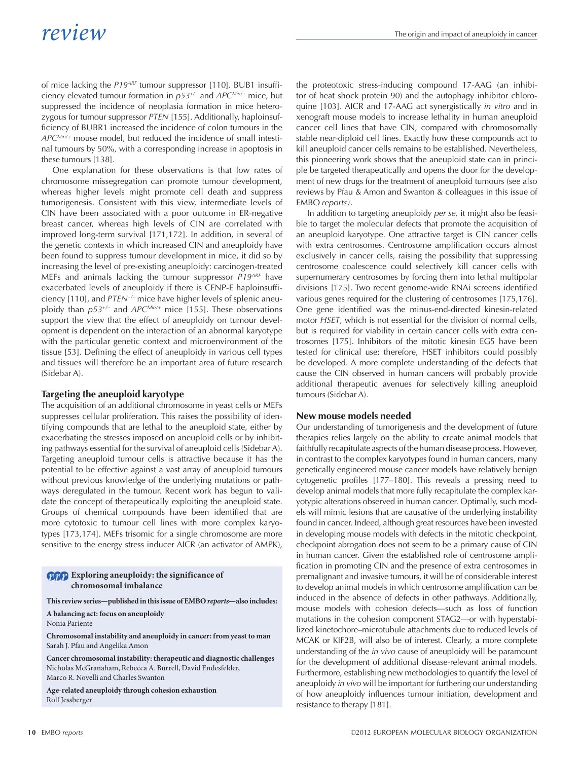of mice lacking the *P19ARF* tumour suppressor [110]. BUB1 insufficiency elevated tumour formation in *p53+/–* and *APCMin/+* mice, but suppressed the incidence of neoplasia formation in mice heterozygous for tumour suppressor *PTEN* [155]. Additionally, haploinsufficiency of BUBR1 increased the incidence of colon tumours in the *APCMin/+* mouse model, but reduced the incidence of small intestinal tumours by 50%, with a corresponding increase in apoptosis in these tumours [138].

One explanation for these observations is that low rates of chromosome missegregation can promote tumour development, whereas higher levels might promote cell death and suppress tumorigenesis. Consistent with this view, intermediate levels of CIN have been associated with a poor outcome in ER-negative breast cancer, whereas high levels of CIN are correlated with improved long-term survival [171,172]. In addition, in several of the genetic contexts in which increased CIN and aneuploidy have been found to suppress tumour development in mice, it did so by increasing the level of pre-existing aneuploidy: carcinogen-treated MEFs and animals lacking the tumour suppressor *P19ARF* have exacerbated levels of aneuploidy if there is CENP-E haploinsufficiency [110], and *PTEN+/–* mice have higher levels of splenic aneuploidy than *p53+/–* and *APCMin/+* mice [155]. These observations support the view that the effect of aneuploidy on tumour development is dependent on the interaction of an abnormal karyotype with the particular genetic context and microenvironment of the tissue [53]. Defining the effect of aneuploidy in various cell types and tissues will therefore be an important area of future research (Sidebar A).

## **Targeting the aneuploid karyotype**

The acquisition of an additional chromosome in yeast cells or MEFs suppresses cellular proliferation. This raises the possibility of identifying compounds that are lethal to the aneuploid state, either by exacerbating the stresses imposed on aneuploid cells or by inhibiting pathways essential for the survival of aneuploid cells (Sidebar A). Targeting aneuploid tumour cells is attractive because it has the potential to be effective against a vast array of aneuploid tumours without previous knowledge of the underlying mutations or pathways deregulated in the tumour. Recent work has begun to validate the concept of therapeutically exploiting the aneuploid state. Groups of chemical compounds have been identified that are more cytotoxic to tumour cell lines with more complex karyotypes [173,174]. MEFs trisomic for a single chromosome are more sensitive to the energy stress inducer AICR (an activator of AMPK),

## **Exploring aneuploidy: the significance of chromosomal imbalance**

**This review series—published in this issue of EMBO** *reports***—also includes:**

**A balancing act: focus on aneuploidy** Nonia Pariente

**Chromosomal instability and aneuploidy in cancer: from yeast to man** Sarah J. Pfau and Angelika Amon

**Cancer chromosomal instability: therapeutic and diagnostic challenges** Nicholas McGranaham, Rebecca A. Burrell, David Endesfelder, Marco R. Novelli and Charles Swanton

**Age-related aneuploidy through cohesion exhaustion** Rolf Jessberger

the proteotoxic stress-inducing compound 17-AAG (an inhibitor of heat shock protein 90) and the autophagy inhibitor chloroquine [103]. AICR and 17-AAG act synergistically *in vitro* and in xenograft mouse models to increase lethality in human aneuploid cancer cell lines that have CIN, compared with chromosomally stable near-diploid cell lines. Exactly how these compounds act to kill aneuploid cancer cells remains to be established. Nevertheless, this pioneering work shows that the aneuploid state can in principle be targeted therapeutically and opens the door for the development of new drugs for the treatment of aneuploid tumours (see also reviews by Pfau & Amon and Swanton & colleagues in this issue of EMBO *reports)*.

In addition to targeting aneuploidy *per se,* it might also be feasible to target the molecular defects that promote the acquisition of an aneuploid karyotype. One attractive target is CIN cancer cells with extra centrosomes. Centrosome amplification occurs almost exclusively in cancer cells, raising the possibility that suppressing centrosome coalescence could selectively kill cancer cells with supernumerary centrosomes by forcing them into lethal multipolar divisions [175]. Two recent genome-wide RNAi screens identified various genes required for the clustering of centrosomes [175,176]. One gene identified was the minus-end-directed kinesin-related motor *HSET*, which is not essential for the division of normal cells, but is required for viability in certain cancer cells with extra centrosomes [175]. Inhibitors of the mitotic kinesin EG5 have been tested for clinical use; therefore, HSET inhibitors could possibly be developed. A more complete understanding of the defects that cause the CIN observed in human cancers will probably provide additional therapeutic avenues for selectively killing aneuploid tumours (Sidebar A).

## **New mouse models needed**

Our understanding of tumorigenesis and the development of future therapies relies largely on the ability to create animal models that faithfully recapitulate aspects of the human disease process. However, in contrast to the complex karyotypes found in human cancers, many genetically engineered mouse cancer models have relatively benign cytogenetic profiles [177–180]. This reveals a pressing need to develop animal models that more fully recapitulate the complex karyotypic alterations observed in human cancer. Optimally, such models will mimic lesions that are causative of the underlying instability found in cancer. Indeed, although great resources have been invested in developing mouse models with defects in the mitotic checkpoint, checkpoint abrogation does not seem to be a primary cause of CIN in human cancer. Given the established role of centrosome amplification in promoting CIN and the presence of extra centrosomes in premalignant and invasive tumours, it will be of considerable interest to develop animal models in which centrosome amplification can be induced in the absence of defects in other pathways. Additionally, mouse models with cohesion defects—such as loss of function mutations in the cohesion component STAG2—or with hyperstabilized kinetochore–microtubule attachments due to reduced levels of MCAK or KIF2B, will also be of interest. Clearly, a more complete understanding of the *in vivo* cause of aneuploidy will be paramount for the development of additional disease-relevant animal models. Furthermore, establishing new methodologies to quantify the level of aneuploidy *in vivo* will be important for furthering our understanding of how aneuploidy influences tumour initiation, development and resistance to therapy [181].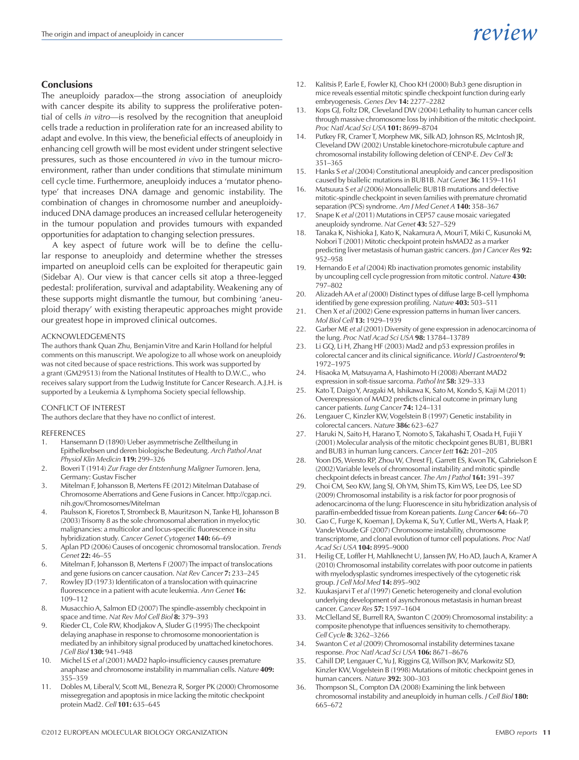## **Conclusions**

The aneuploidy paradox—the strong association of aneuploidy with cancer despite its ability to suppress the proliferative potential of cells *in vitro*—is resolved by the recognition that aneuploid cells trade a reduction in proliferation rate for an increased ability to adapt and evolve. In this view, the beneficial effects of aneuploidy in enhancing cell growth will be most evident under stringent selective pressures, such as those encountered *in vivo* in the tumour microenvironment, rather than under conditions that stimulate minimum cell cycle time. Furthermore, aneuploidy induces a 'mutator phenotype' that increases DNA damage and genomic instability. The combination of changes in chromosome number and aneuploidyinduced DNA damage produces an increased cellular heterogeneity in the tumour population and provides tumours with expanded opportunities for adaptation to changing selection pressures.

A key aspect of future work will be to define the cellular response to aneuploidy and determine whether the stresses imparted on aneuploid cells can be exploited for therapeutic gain (Sidebar A). Our view is that cancer cells sit atop a three-legged pedestal: proliferation, survival and adaptability. Weakening any of these supports might dismantle the tumour, but combining 'aneuploid therapy' with existing therapeutic approaches might provide our greatest hope in improved clinical outcomes.

### ACKNOWLEDGEMENTS

The authors thank Quan Zhu, Benjamin Vitre and Karin Holland for helpful comments on this manuscript. We apologize to all whose work on aneuploidy was not cited because of space restrictions. This work was supported by a grant (GM29513) from the National Institutes of Health to D.W.C., who receives salary support from the Ludwig Institute for Cancer Research. A.J.H. is supported by a Leukemia & Lymphoma Society special fellowship.

### CONFLICT OF INTEREST

The authors declare that they have no conflict of interest.

### **REFERENCES**

- 1. Hansemann D (1890) Ueber asymmetrische Zelltheilung in Epithelkrebsen und deren biologische Bedeutung. *Arch Pathol Anat Physiol Klin Medicin* **119:** 299–326
- 2. Boveri T (1914) *Zur Frage der Entstenhung Maligner Tumoren*. Jena, Germany: Gustav Fischer
- 3. Mitelman F, Johansson B, Mertens FE (2012) Mitelman Database of Chromosome Aberrations and Gene Fusions in Cancer. [http://cgap.nci.](http://cgap.nci.nih.gov/Chromosomes/Mitelman) [nih.gov/Chromosomes/Mitelman](http://cgap.nci.nih.gov/Chromosomes/Mitelman)
- 4. Paulsson K, Fioretos T, Strombeck B, Mauritzson N, Tanke HJ, Johansson B (2003) Trisomy 8 as the sole chromosomal aberration in myelocytic malignancies: a multicolor and locus-specific fluorescence in situ hybridization study. *Cancer Genet Cytogenet* **140:** 66–69
- 5. Aplan PD (2006) Causes of oncogenic chromosomal translocation. *Trends Genet* **22:** 46–55
- 6. Mitelman F, Johansson B, Mertens F (2007) The impact of translocations and gene fusions on cancer causation. *Nat Rev Cancer* **7:** 233–245
- 7. Rowley JD (1973) Identificaton of a translocation with quinacrine fluorescence in a patient with acute leukemia. *Ann Genet* **16:** 109–112
- 8. Musacchio A, Salmon ED (2007) The spindle-assembly checkpoint in space and time. *Nat Rev Mol Cell Biol* **8:** 379–393
- 9. Rieder CL, Cole RW, Khodjakov A, Sluder G (1995) The checkpoint delaying anaphase in response to chromosome monoorientation is mediated by an inhibitory signal produced by unattached kinetochores. *J Cell Biol* **130:** 941–948
- 10. Michel LS *et al* (2001) MAD2 haplo-insufficiency causes premature anaphase and chromosome instability in mammalian cells. *Nature* **409:** 355–359
- 11. Dobles M, Liberal V, Scott ML, Benezra R, Sorger PK (2000) Chromosome missegregation and apoptosis in mice lacking the mitotic checkpoint protein Mad2. *Cell* **101:** 635–645
- 12. Kalitsis P, Earle E, Fowler KJ, Choo KH (2000) Bub3 gene disruption in mice reveals essential mitotic spindle checkpoint function during early embryogenesis. *Genes Dev* **14:** 2277–2282
- 13. Kops GJ, Foltz DR, Cleveland DW (2004) Lethality to human cancer cells through massive chromosome loss by inhibition of the mitotic checkpoint. *Proc Natl Acad Sci USA* **101:** 8699–8704
- 14. Putkey FR, Cramer T, Morphew MK, Silk AD, Johnson RS, McIntosh JR, Cleveland DW (2002) Unstable kinetochore-microtubule capture and chromosomal instability following deletion of CENP-E. *Dev Cell* **3:** 351–365
- 15. Hanks S *et al* (2004) Constitutional aneuploidy and cancer predisposition caused by biallelic mutations in BUB1B. *Nat Genet* **36:** 1159–1161
- 16. Matsuura S *et al* (2006) Monoallelic BUB1B mutations and defective mitotic-spindle checkpoint in seven families with premature chromatid separation (PCS) syndrome. *Am J Med Genet A* **140:** 358–367
- 17. Snape K *et al* (2011) Mutations in CEP57 cause mosaic variegated aneuploidy syndrome. *Nat Genet* **43:** 527–529
- 18. Tanaka K, Nishioka J, Kato K, Nakamura A, Mouri T, Miki C, Kusunoki M, Nobori T (2001) Mitotic checkpoint protein hsMAD2 as a marker predicting liver metastasis of human gastric cancers. *Jpn J Cancer Res* **92:** 952–958
- 19. Hernando E *et al* (2004) Rb inactivation promotes genomic instability by uncoupling cell cycle progression from mitotic control. *Nature* **430:** 797–802
- 20. Alizadeh AA *et al* (2000) Distinct types of diffuse large B-cell lymphoma identified by gene expression profiling. *Nature* **403:** 503–511
- 21. Chen X et al (2002) Gene expression patterns in human liver cancers. *Mol Biol Cell* **13:** 1929–1939
- 22. Garber ME *et al* (2001) Diversity of gene expression in adenocarcinoma of the lung. *Proc Natl Acad Sci USA* **98:** 13784–13789
- 23. Li GQ, Li H, Zhang HF (2003) Mad2 and p53 expression profiles in colorectal cancer and its clinical significance. *World J Gastroenterol* **9:** 1972–1975
- 24. Hisaoka M, Matsuyama A, Hashimoto H (2008) Aberrant MAD2 expression in soft-tissue sarcoma. *Pathol Int* **58:** 329–333
- 25. Kato T, Daigo Y, Aragaki M, Ishikawa K, Sato M, Kondo S, Kaji M (2011) Overexpression of MAD2 predicts clinical outcome in primary lung cancer patients. *Lung Cancer* **74:** 124–131
- 26. Lengauer C, Kinzler KW, Vogelstein B (1997) Genetic instability in colorectal cancers. *Nature* **386:** 623–627
- 27. Haruki N, Saito H, Harano T, Nomoto S, Takahashi T, Osada H, Fujii Y (2001) Molecular analysis of the mitotic checkpoint genes BUB1, BUBR1 and BUB3 in human lung cancers. *Cancer Lett* **162:** 201–205
- 28. Yoon DS, Wersto RP, Zhou W, Chrest FJ, Garrett ES, Kwon TK, Gabrielson E (2002) Variable levels of chromosomal instability and mitotic spindle checkpoint defects in breast cancer. *The Am J Pathol* **161:** 391–397
- 29. Choi CM, Seo KW, Jang SJ, Oh YM, Shim TS, Kim WS, Lee DS, Lee SD (2009) Chromosomal instability is a risk factor for poor prognosis of adenocarcinoma of the lung: Fluorescence in situ hybridization analysis of paraffin-embedded tissue from Korean patients. *Lung Cancer* **64:** 66–70
- 30. Gao C, Furge K, Koeman J, Dykema K, Su Y, Cutler ML, Werts A, Haak P, Vande Woude GF (2007) Chromosome instability, chromosome transcriptome, and clonal evolution of tumor cell populations. *Proc Natl Acad Sci USA* **104:** 8995–9000
- 31. Heilig CE, Loffler H, Mahlknecht U, Janssen JW, Ho AD, Jauch A, Kramer A (2010) Chromosomal instability correlates with poor outcome in patients with myelodysplastic syndromes irrespectively of the cytogenetic risk group. *J Cell Mol Med* **14:** 895–902
- 32. Kuukasjarvi T *et al* (1997) Genetic heterogeneity and clonal evolution underlying development of asynchronous metastasis in human breast cancer. *Cancer Res* **57:** 1597–1604
- 33. McClelland SE, Burrell RA, Swanton C (2009) Chromosomal instability: a composite phenotype that influences sensitivity to chemotherapy. *Cell Cycle* **8:** 3262–3266
- 34. Swanton C *et al* (2009) Chromosomal instability determines taxane response. *Proc Natl Acad Sci USA* **106:** 8671–8676
- 35. Cahill DP, Lengauer C, Yu J, Riggins GJ, Willson JKV, Markowitz SD, Kinzler KW, Vogelstein B (1998) Mutations of mitotic checkpoint genes in human cancers. *Nature* **392:** 300–303
- 36. Thompson SL, Compton DA (2008) Examining the link between chromosomal instability and aneuploidy in human cells. *J Cell Biol* **180:** 665–672

# The origin and impact of aneuploidy in cancer *review*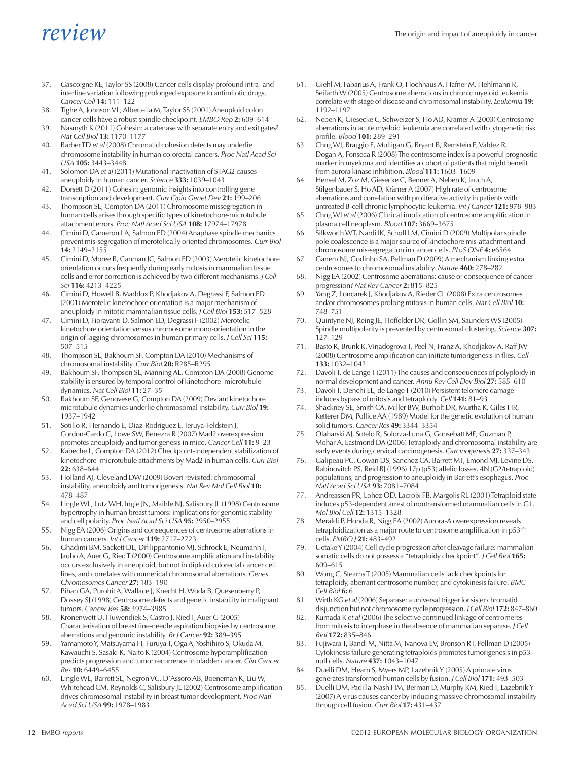- 37. Gascoigne KE, Taylor SS (2008) Cancer cells display profound intra- and interline variation following prolonged exposure to antimitotic drugs. *Cancer Cell* **14:** 111–122
- 38. Tighe A, Johnson VL, Albertella M, Taylor SS (2001) Aneuploid colon cancer cells have a robust spindle checkpoint. *EMBO Rep* **2:** 609–614
- 39. Nasmyth K (2011) Cohesin: a catenase with separate entry and exit gates? *Nat Cell Biol* **13:** 1170–1177
- 40. Barber TD *et al* (2008) Chromatid cohesion defects may underlie chromosome instability in human colorectal cancers. *Proc Natl Acad Sci USA* **105:** 3443–3448
- 41. Solomon DA *et al* (2011) Mutational inactivation of STAG2 causes aneuploidy in human cancer. *Science* **333:** 1039–1043
- 42. Dorsett D (2011) Cohesin: genomic insights into controlling gene transcription and development. *Curr Opin Genet Dev* **21:** 199–206
- 43. Thompson SL, Compton DA (2011) Chromosome missegregation in human cells arises through specific types of kinetochore-microtubule attachment errors. *Proc Natl Acad Sci USA* **108:** 17974–17978
- 44. Cimini D, Cameron LA, Salmon ED (2004) Anaphase spindle mechanics prevent mis-segregation of merotelically oriented chromosomes. *Curr Biol*  **14:** 2149–2155
- 45. Cimini D, Moree B, Canman JC, Salmon ED (2003) Merotelic kinetochore orientation occurs frequently during early mitosis in mammalian tissue cells and error correction is achieved by two different mechanisms. *J Cell Sci* **116:** 4213–4225
- 46. Cimini D, Howell B, Maddox P, Khodjakov A, Degrassi F, Salmon ED (2001) Merotelic kinetochore orientation is a major mechanism of aneuploidy in mitotic mammalian tissue cells. *J Cell Biol* **153:** 517–528
- 47. Cimini D, Fioravanti D, Salmon ED, Degrassi F (2002) Merotelic kinetochore orientation versus chromosome mono-orientation in the origin of lagging chromosomes in human primary cells. *J Cell Sci* **115:** 507–515
- 48. Thompson SL, Bakhoum SF, Compton DA (2010) Mechanisms of chromosomal instability. *Curr Biol* **20:** R285–R295
- 49. Bakhoum SF, Thompson SL, Manning AL, Compton DA (2008) Genome stability is ensured by temporal control of kinetochore–microtubule dynamics. *Nat Cell Biol* **11:** 27–35
- 50. Bakhoum SF, Genovese G, Compton DA (2009) Deviant kinetochore microtubule dynamics underlie chromosomal instability. *Curr Biol* **19:** 1937–1942
- 51. Sotillo R, Hernando E, Diaz-Rodriguez E, Teruya-Feldstein J, Cordon-Cardo C, Lowe SW, Benezra R (2007) Mad2 overexpression promotes aneuploidy and tumorigenesis in mice. *Cancer Cell* **11:** 9–23
- 52. Kabeche L, Compton DA (2012) Checkpoint-independent stabilization of kinetochore–microtubule attachments by Mad2 in human cells. *Curr Biol*  **22:** 638–644
- 53. Holland AJ, Cleveland DW (2009) Boveri revisited: chromosomal instability, aneuploidy and tumorigenesis. *Nat Rev Mol Cell Biol* **10:** 478–487
- 54. Lingle WL, Lutz WH, Ingle JN, Maihle NJ, Salisbury JL (1998) Centrosome hypertrophy in human breast tumors: implications for genomic stability and cell polarity. *Proc Natl Acad Sci USA* **95:** 2950–2955
- 55. Nigg EA (2006) Origins and consequences of centrosome aberrations in human cancers. *Int J Cancer* **119:** 2717–2723
- 56. Ghadimi BM, Sackett DL, Difilippantonio MJ, Schrock E, Neumann T, Jauho A, Auer G, Ried T (2000) Centrosome amplification and instability occurs exclusively in aneuploid, but not in diploid colorectal cancer cell lines, and correlates with numerical chromosomal aberrations. *Genes Chromosomes Cancer* **27:** 183–190
- 57. Pihan GA, Purohit A, Wallace J, Knecht H, Woda B, Quesenberry P, Doxsey SJ (1998) Centrosome defects and genetic instability in malignant tumors. *Cancer Res* **58:** 3974–3985
- 58. Kronenwett U, Huwendiek S, Castro J, Ried T, Auer G (2005) Characterisation of breast fine-needle aspiration biopsies by centrosome aberrations and genomic instability. *Br J Cancer* **92:** 389–395
- 59. Yamamoto Y, Matsuyama H, Furuya T, Oga A, Yoshihiro S, Okuda M, Kawauchi S, Sasaki K, Naito K (2004) Centrosome hyperamplification predicts progression and tumor recurrence in bladder cancer. *Clin Cancer Res* **10:** 6449–6455
- 60. Lingle WL, Barrett SL, Negron VC, D'Assoro AB, Boeneman K, Liu W, Whitehead CM, Reynolds C, Salisbury JL (2002) Centrosome amplification drives chromosomal instability in breast tumor development. *Proc Natl Acad Sci USA* **99:** 1978–1983
- 61. Giehl M, Fabarius A, Frank O, Hochhaus A, Hafner M, Hehlmann R, Seifarth W (2005) Centrosome aberrations in chronic myeloid leukemia correlate with stage of disease and chromosomal instability. *Leukemia* **19:** 1192–1197
- 62. Neben K, Giesecke C, Schweizer S, Ho AD, Kramer A (2003) Centrosome aberrations in acute myeloid leukemia are correlated with cytogenetic risk profile. *Blood* **101:** 289–291
- 63. Chng WJ, Braggio E, Mulligan G, Bryant B, Remstein E, Valdez R, Dogan A, Fonseca R (2008) The centrosome index is a powerful prognostic marker in myeloma and identifies a cohort of patients that might benefit from aurora kinase inhibition. *Blood* **111:** 1603–1609
- 64. Hensel M, Zoz M, Giesecke C, Benner A, Neben K, Jauch A, Stilgenbauer S, Ho AD, Krämer A (2007) High rate of centrosome aberrations and correlation with proliferative activity in patients with untreated B-cell chronic lymphocytic leukemia. *Int J Cancer* **121:** 978–983
- 65. Chng WJ *et al* (2006) Clinical implication of centrosome amplification in plasma cell neoplasm. *Blood* **107:** 3669–3675
- 66. Silkworth WT, Nardi IK, Scholl LM, Cimini D (2009) Multipolar spindle pole coalescence is a major source of kinetochore mis-attachment and chromosome mis-segregation in cancer cells. *PLoS ONE* **4:** e6564
- 67. Ganem NJ, Godinho SA, Pellman D (2009) A mechanism linking extra centrosomes to chromosomal instability. *Nature* **460:** 278–282
- 68. Nigg EA (2002) Centrosome aberrations: cause or consequence of cancer progression? *Nat Rev Cancer* **2:** 815–825
- 69. Yang Z, Loncarek J, Khodjakov A, Rieder CL (2008) Extra centrosomes and/or chromosomes prolong mitosis in human cells. *Nat Cell Biol* **10:** 748–751
- 70. Quintyne NJ, Reing JE, Hoffelder DR, Gollin SM, Saunders WS (2005) Spindle multipolarity is prevented by centrosomal clustering. *Science* **307:** 127–129
- 71. Basto R, Brunk K, Vinadogrova T, Peel N, Franz A, Khodjakov A, Raff JW (2008) Centrosome amplification can initiate tumorigenesis in flies. *Cell*  **133:** 1032–1042
- 72. Davoli T, de Lange T (2011) The causes and consequences of polyploidy in normal development and cancer. *Annu Rev Cell Dev Biol* **27:** 585–610
- 73. Davoli T, Denchi EL, de Lange T (2010) Persistent telomere damage induces bypass of mitosis and tetraploidy. *Cell* **141:** 81–93
- 74. Shackney SE, Smith CA, Miller BW, Burholt DR, Murtha K, Giles HR, Ketterer DM, Pollice AA (1989) Model for the genetic evolution of human solid tumors. *Cancer Res* **49:** 3344–3354
- 75. Olaharski AJ, Sotelo R, Solorza-Luna G, Gonsebatt ME, Guzman P, Mohar A, Eastmond DA (2006) Tetraploidy and chromosomal instability are early events during cervical carcinogenesis. *Carcinogenesis* **27:** 337–343
- Galipeau PC, Cowan DS, Sanchez CA, Barrett MT, Emond MJ, Levine DS, Rabinovitch PS, Reid BJ (1996) 17p (p53) allelic losses, 4N (G2/tetraploid) populations, and progression to aneuploidy in Barrett's esophagus. *Proc Natl Acad Sci USA* **93:** 7081–7084
- 77. Andreassen PR, Lohez OD, Lacroix FB, Margolis RL (2001) Tetraploid state induces p53-dependent arrest of nontransformed mammalian cells in G1. *Mol Biol Cell* **12:** 1315–1328
- Meraldi P, Honda R, Nigg EA (2002) Aurora-A overexpression reveals tetraploidization as a major route to centrosome amplification in  $p53<sup>-/</sup>$ cells. *EMBO J* **21:** 483–492
- 79. Uetake Y (2004) Cell cycle progression after cleavage failure: mammalian somatic cells do not possess a "tetraploidy checkpoint". *J Cell Biol* **165:** 609–615
- 80. Wong C, Stearns T (2005) Mammalian cells lack checkpoints for tetraploidy, aberrant centrosome number, and cytokinesis failure. *BMC Cell Biol* **6:** 6
- 81. Wirth KG *et al* (2006) Separase: a universal trigger for sister chromatid disjunction but not chromosome cycle progression. *J Cell Biol* **172:** 847–860
- 82. Kumada K *et al* (2006) The selective continued linkage of centromeres from mitosis to interphase in the absence of mammalian separase. *J Cell Biol* **172:** 835–846
- 83. Fujiwara T, Bandi M, Nitta M, Ivanova EV, Bronson RT, Pellman D (2005) Cytokinesis failure generating tetraploids promotes tumorigenesis in p53 null cells. *Nature* **437:** 1043–1047
- 84. Duelli DM, Hearn S, Myers MP, Lazebnik Y (2005) A primate virus generates transformed human cells by fusion. *J Cell Biol* **171:** 493–503
- 85. Duelli DM, Padilla-Nash HM, Berman D, Murphy KM, Ried T, Lazebnik Y (2007) A virus causes cancer by inducing massive chromosomal instability through cell fusion. *Curr Biol* **17:** 431–437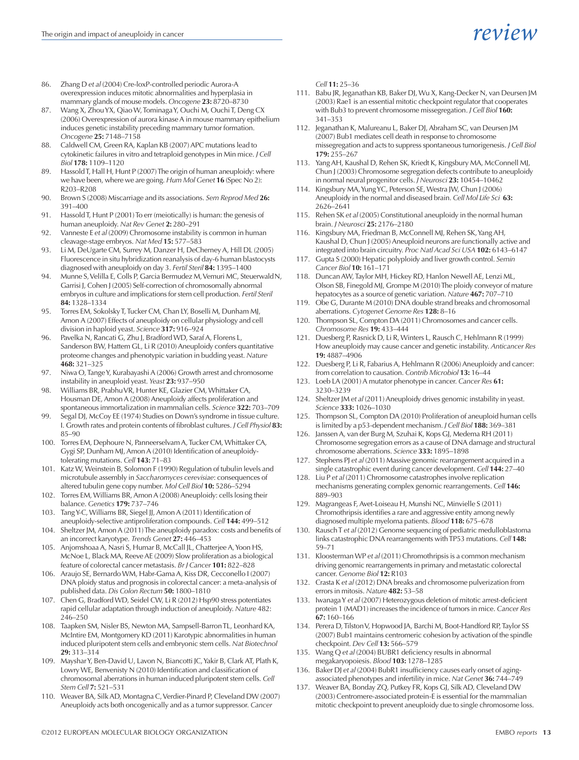- 86. Zhang D *et al* (2004) Cre-loxP-controlled periodic Aurora-A overexpression induces mitotic abnormalities and hyperplasia in mammary glands of mouse models. *Oncogene* **23:** 8720–8730
- 87. Wang X, Zhou YX, Qiao W, Tominaga Y, Ouchi M, Ouchi T, Deng CX (2006) Overexpression of aurora kinase A in mouse mammary epithelium induces genetic instability preceding mammary tumor formation. *Oncogene* **25:** 7148–7158
- 88. Caldwell CM, Green RA, Kaplan KB (2007) APC mutations lead to cytokinetic failures in vitro and tetraploid genotypes in Min mice. *J Cell Biol* **178:** 1109–1120
- 89. Hassold T, Hall H, Hunt P (2007) The origin of human aneuploidy: where we have been, where we are going. *Hum Mol Genet* **16** (Spec No 2): R203–R208
- 90. Brown S (2008) Miscarriage and its associations. *Sem Reprod Med* **26:** 391–400
- 91. Hassold T, Hunt P (2001) To err (meiotically) is human: the genesis of human aneuploidy. *Nat Rev Genet* **2:** 280–291
- 92. Vanneste E et al (2009) Chromosome instability is common in human cleavage-stage embryos. *Nat Med* **15:** 577–583
- 93. Li M, DeUgarte CM, Surrey M, Danzer H, DeCherney A, Hill DL (2005) Fluorescence in situ hybridization reanalysis of day-6 human blastocysts diagnosed with aneuploidy on day 3. *Fertil Steril* **84:** 1395–1400
- 94. Munne S, Velilla E, Colls P, Garcia Bermudez M, Vemuri MC, Steuerwald N, Garrisi J, Cohen J (2005) Self-correction of chromosomally abnormal embryos in culture and implications for stem cell production. *Fertil Steril*  **84:** 1328–1334
- 95. Torres EM, Sokolsky T, Tucker CM, Chan LY, Boselli M, Dunham MJ, Amon A (2007) Effects of aneuploidy on cellular physiology and cell division in haploid yeast. *Science* **317:** 916–924
- 96. Pavelka N, Rancati G, Zhu J, Bradford WD, Saraf A, Florens L, Sanderson BW, Hattem GL, Li R (2010) Aneuploidy confers quantitative proteome changes and phenotypic variation in budding yeast. *Nature*  **468:** 321–325
- 97. Niwa O, Tange Y, Kurabayashi A (2006) Growth arrest and chromosome instability in aneuploid yeast. *Yeast* **23:** 937–950
- 98. Williams BR, Prabhu VR, Hunter KE, Glazier CM, Whittaker CA, Housman DE, Amon A (2008) Aneuploidy affects proliferation and spontaneous immortalization in mammalian cells. *Science* **322:** 703–709
- 99. Segal DJ, McCoy EE (1974) Studies on Down's syndrome in tissue culture. I. Growth rates and protein contents of fibroblast cultures. *J Cell Physiol* **83:** 85–90
- 100. Torres EM, Dephoure N, Panneerselvam A, Tucker CM, Whittaker CA, Gygi SP, Dunham MJ, Amon A (2010) Identification of aneuploidytolerating mutations. *Cell* **143:** 71–83
- 101. Katz W, Weinstein B, Solomon F (1990) Regulation of tubulin levels and microtubule assembly in *Saccharomyces cerevisiae*: consequences of altered tubulin gene copy number. *Mol Cell Biol* **10:** 5286–5294
- 102. Torres EM, Williams BR, Amon A (2008) Aneuploidy: cells losing their balance. *Genetics* **179:** 737–746
- 103. Tang Y-C, Williams BR, Siegel JJ, Amon A (2011) Identification of aneuploidy-selective antiproliferation compounds. *Cell* **144:** 499–512
- 104. Sheltzer JM, Amon A (2011) The aneuploidy paradox: costs and benefits of an incorrect karyotype. *Trends Genet* **27:** 446–453
- 105. Anjomshoaa A, Nasri S, Humar B, McCall JL, Chatterjee A, Yoon HS, McNoe L, Black MA, Reeve AE (2009) Slow proliferation as a biological feature of colorectal cancer metastasis. *Br J Cancer* **101:** 822–828
- 106. Araujo SE, Bernardo WM, Habr-Gama A, Kiss DR, Cecconello I (2007) DNA ploidy status and prognosis in colorectal cancer: a meta-analysis of published data. *Dis Colon Rectum* **50:** 1800–1810
- 107. Chen G, Bradford WD, Seidel CW, Li R (2012) Hsp90 stress potentiates rapid cellular adaptation through induction of aneuploidy. *Nature* 482: 246–250
- 108. Taapken SM, Nisler BS, Newton MA, Sampsell-Barron TL, Leonhard KA, McIntire EM, Montgomery KD (2011) Karotypic abnormalities in human induced pluripotent stem cells and embryonic stem cells. *Nat Biotechnol*  **29:** 313–314
- 109. Mayshar Y, Ben-David U, Lavon N, Biancotti JC, Yakir B, Clark AT, Plath K, Lowry WE, Benvenisty N (2010) Identification and classification of chromosomal aberrations in human induced pluripotent stem cells. *Cell Stem Cell* **7:** 521–531
- 110. Weaver BA, Silk AD, Montagna C, Verdier-Pinard P, Cleveland DW (2007) Aneuploidy acts both oncogenically and as a tumor suppressor. *Cancer*

*Cell* **11:** 25–36

- 111. Babu JR, Jeganathan KB, Baker DJ, Wu X, Kang-Decker N, van Deursen JM (2003) Rae1 is an essential mitotic checkpoint regulator that cooperates with Bub3 to prevent chromosome missegregation. *J Cell Biol* **160:** 341–353
- 112. Jeganathan K, Malureanu L, Baker DJ, Abraham SC, van Deursen JM (2007) Bub1 mediates cell death in response to chromosome missegregation and acts to suppress spontaneous tumorigenesis. *J Cell Biol*  **179:** 255–267
- 113. Yang AH, Kaushal D, Rehen SK, Kriedt K, Kingsbury MA, McConnell MJ, Chun J (2003) Chromosome segregation defects contribute to aneuploidy in normal neural progenitor cells. *J Neurosci* **23:** 10454–10462
- 114. Kingsbury MA, Yung YC, Peterson SE, Westra JW, Chun J (2006) Aneuploidy in the normal and diseased brain. *Cell Mol Life Sci* **63:** 2626–2641
- 115. Rehen SK *et al* (2005) Constitutional aneuploidy in the normal human brain. *J Neurosci* **25:** 2176–2180
- 116. Kingsbury MA, Friedman B, McConnell MJ, Rehen SK, Yang AH, Kaushal D, Chun J (2005) Aneuploid neurons are functionally active and integrated into brain circuitry. *Proc Natl Acad Sci USA* **102:** 6143–6147
- 117. Gupta S (2000) Hepatic polyploidy and liver growth control. *Semin Cancer Biol* **10:** 161–171
- 118. Duncan AW, Taylor MH, Hickey RD, Hanlon Newell AE, Lenzi ML, Olson SB, Finegold MJ, Grompe M (2010) The ploidy conveyor of mature hepatocytes as a source of genetic variation. *Nature* **467:** 707–710
- 119. Obe G, Durante M (2010) DNA double strand breaks and chromosomal aberrations. *Cytogenet Genome Res* **128:** 8–16
- 120. Thompson SL, Compton DA (2011) Chromosomes and cancer cells. *Chromosome Res* **19:** 433–444
- 121. Duesberg P, Rasnick D, Li R, Winters L, Rausch C, Hehlmann R (1999) How aneuploidy may cause cancer and genetic instability. *Anticancer Res*  **19:** 4887–4906
- 122. Duesberg P, Li R, Fabarius A, Hehlmann R (2006) Aneuploidy and cancer: from correlation to causation. *Contrib Microbiol* **13:** 16–44
- 123. Loeb LA (2001) A mutator phenotype in cancer. *Cancer Res* **61:** 3230–3239
- 124. Sheltzer JM *et al* (2011) Aneuploidy drives genomic instability in yeast. *Science* **333:** 1026–1030
- 125. Thompson SL, Compton DA (2010) Proliferation of aneuploid human cells is limited by a p53-dependent mechanism. *J Cell Biol* **188:** 369–381
- 126. Janssen A, van der Burg M, Szuhai K, Kops GJ, Medema RH (2011) Chromosome segregation errors as a cause of DNA damage and structural chromosome aberrations. *Science* **333:** 1895–1898
- 127. Stephens PJ *et al* (2011) Massive genomic rearrangement acquired in a single catastrophic event during cancer development. *Cell* **144:** 27–40
- 128. Liu P *et al* (2011) Chromosome catastrophes involve replication mechanisms generating complex genomic rearrangements. *Cell* **146:** 889–903
- 129. Magrangeas F, Avet-Loiseau H, Munshi NC, Minvielle S (2011) Chromothripsis identifies a rare and aggressive entity among newly diagnosed multiple myeloma patients. *Blood* **118:** 675–678
- 130. Rausch T *et al* (2012) Genome sequencing of pediatric medulloblastoma links catastrophic DNA rearrangements with TP53 mutations. *Cell* **148:** 59–71
- 131. Kloosterman WP *et al* (2011) Chromothripsis is a common mechanism driving genomic rearrangements in primary and metastatic colorectal cancer. *Genome Biol* **12:** R103
- 132. Crasta K *et al* (2012) DNA breaks and chromosome pulverization from errors in mitosis. *Nature* **482:** 53–58
- 133. Iwanaga Y *et al* (2007) Heterozygous deletion of mitotic arrest-deficient protein 1 (MAD1) increases the incidence of tumors in mice. *Cancer Res*  **67:** 160–166
- 134. Perera D, Tilston V, Hopwood JA, Barchi M, Boot-Handford RP, Taylor SS (2007) Bub1 maintains centromeric cohesion by activation of the spindle checkpoint. *Dev Cell* **13:** 566–579
- 135. Wang Q *et al* (2004) BUBR1 deficiency results in abnormal megakaryopoiesis. *Blood* **103:** 1278–1285
- 136. Baker DJ *et al* (2004) BubR1 insufficiency causes early onset of agingassociated phenotypes and infertility in mice. *Nat Genet* **36:** 744–749
- 137. Weaver BA, Bonday ZQ, Putkey FR, Kops GJ, Silk AD, Cleveland DW (2003) Centromere-associated protein-E is essential for the mammalian mitotic checkpoint to prevent aneuploidy due to single chromosome loss.